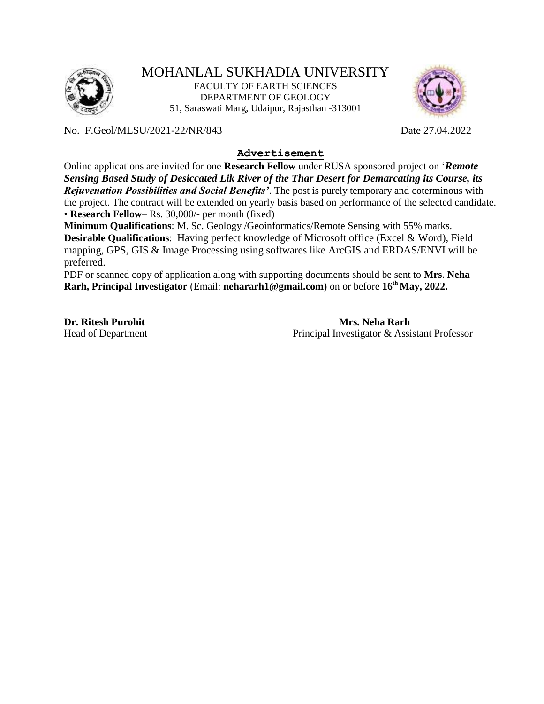



No. F.Geol/MLSU/2021-22/NR/843 Date 27.04.2022

## **Advertisement**

Online applications are invited for one **Research Fellow** under RUSA sponsored project on '*Remote Sensing Based Study of Desiccated Lik River of the Thar Desert for Demarcating its Course, its Rejuvenation Possibilities and Social Benefits'*. The post is purely temporary and coterminous with the project. The contract will be extended on yearly basis based on performance of the selected candidate. • **Research Fellow**– Rs. 30,000/- per month (fixed)

**Minimum Qualifications**: M. Sc. Geology /Geoinformatics/Remote Sensing with 55% marks. **Desirable Qualifications**: Having perfect knowledge of Microsoft office (Excel & Word), Field mapping, GPS, GIS & Image Processing using softwares like ArcGIS and ERDAS/ENVI will be preferred.

PDF or scanned copy of application along with supporting documents should be sent to **Mrs**. **Neha Rarh, Principal Investigator** (Email: **nehararh1@gmail.com)** on or before **16th May, 2022.** 

**Dr. Ritesh Purohit** Mrs. **Neha Rarh Mrs. Mrs. Neha Rarh** Head of Department Principal Investigator & Assistant Professor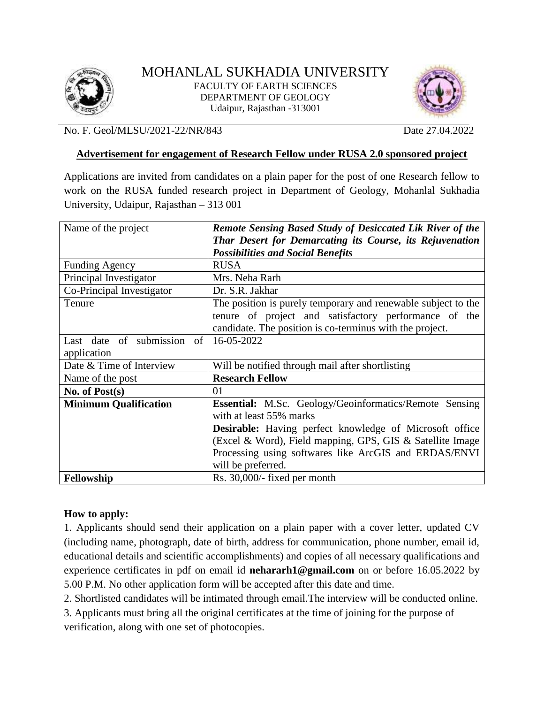



No. F. Geol/MLSU/2021-22/NR/843 Date 27.04.2022

### **Advertisement for engagement of Research Fellow under RUSA 2.0 sponsored project**

Applications are invited from candidates on a plain paper for the post of one Research fellow to work on the RUSA funded research project in Department of Geology, Mohanlal Sukhadia University, Udaipur, Rajasthan – 313 001

| Name of the project          | <b>Remote Sensing Based Study of Desiccated Lik River of the</b> |
|------------------------------|------------------------------------------------------------------|
|                              | Thar Desert for Demarcating its Course, its Rejuvenation         |
|                              | <b>Possibilities and Social Benefits</b>                         |
| <b>Funding Agency</b>        | <b>RUSA</b>                                                      |
| Principal Investigator       | Mrs. Neha Rarh                                                   |
| Co-Principal Investigator    | Dr. S.R. Jakhar                                                  |
| Tenure                       | The position is purely temporary and renewable subject to the    |
|                              | tenure of project and satisfactory performance of the            |
|                              | candidate. The position is co-terminus with the project.         |
| Last date of submission of   | 16-05-2022                                                       |
| application                  |                                                                  |
| Date & Time of Interview     | Will be notified through mail after shortlisting                 |
| Name of the post             | <b>Research Fellow</b>                                           |
| No. of $Post(s)$             | 01                                                               |
| <b>Minimum Qualification</b> | <b>Essential:</b> M.Sc. Geology/Geoinformatics/Remote Sensing    |
|                              | with at least 55% marks                                          |
|                              | <b>Desirable:</b> Having perfect knowledge of Microsoft office   |
|                              | (Excel & Word), Field mapping, GPS, GIS & Satellite Image        |
|                              | Processing using softwares like ArcGIS and ERDAS/ENVI            |
|                              | will be preferred.                                               |
| Fellowship                   | Rs. 30,000/- fixed per month                                     |

# **How to apply:**

1. Applicants should send their application on a plain paper with a cover letter, updated CV (including name, photograph, date of birth, address for communication, phone number, email id, educational details and scientific accomplishments) and copies of all necessary qualifications and experience certificates in pdf on email id **nehararh1@gmail.com** on or before 16.05.2022 by 5.00 P.M. No other application form will be accepted after this date and time.

2. Shortlisted candidates will be intimated through email.The interview will be conducted online.

3. Applicants must bring all the original certificates at the time of joining for the purpose of verification, along with one set of photocopies.